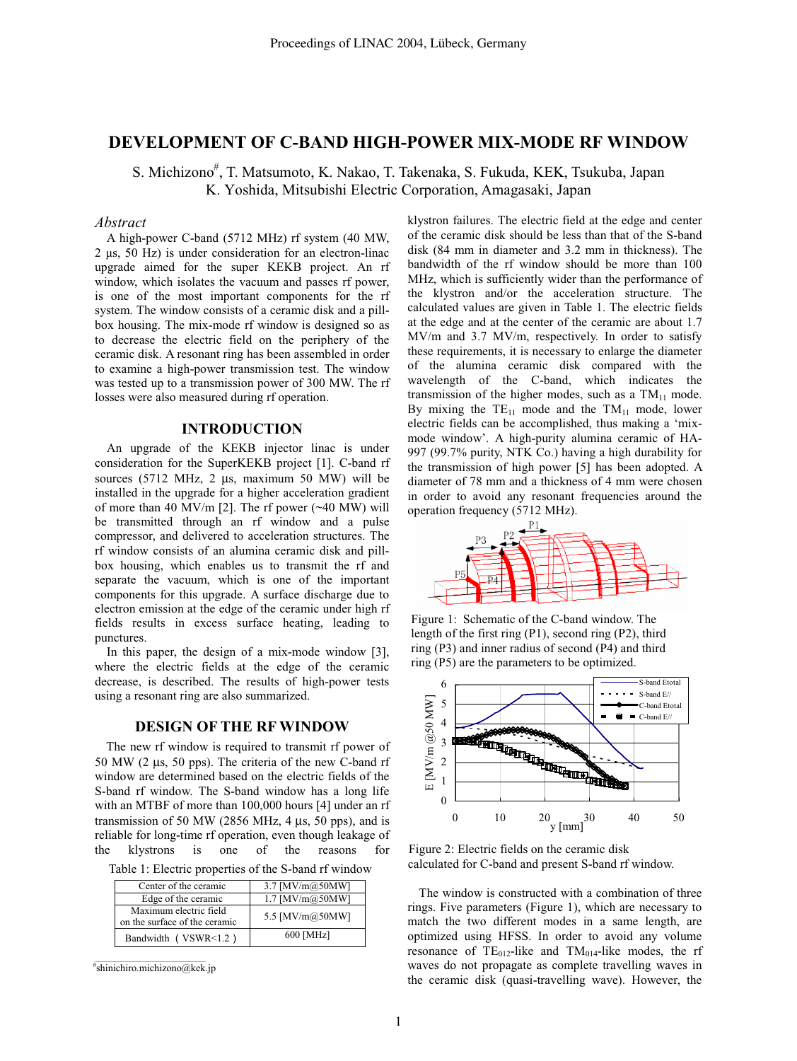## **DEVELOPMENT OF C-BAND HIGH-POWER MIX-MODE RF WINDOW**

S. Michizono<sup>#</sup>, T. Matsumoto, K. Nakao, T. Takenaka, S. Fukuda, KEK, Tsukuba, Japan K. Yoshida, Mitsubishi Electric Corporation, Amagasaki, Japan

### *Abstract*

A high-power C-band (5712 MHz) rf system (40 MW, 2 µs, 50 Hz) is under consideration for an electron-linac upgrade aimed for the super KEKB project. An rf window, which isolates the vacuum and passes rf power, is one of the most important components for the rf system. The window consists of a ceramic disk and a pillbox housing. The mix-mode rf window is designed so as to decrease the electric field on the periphery of the ceramic disk. A resonant ring has been assembled in order to examine a high-power transmission test. The window was tested up to a transmission power of 300 MW. The rf losses were also measured during rf operation.

#### **INTRODUCTION**

An upgrade of the KEKB injector linac is under consideration for the SuperKEKB project [1]. C-band rf sources (5712 MHz, 2 µs, maximum 50 MW) will be installed in the upgrade for a higher acceleration gradient of more than 40 MV/m [2]. The rf power  $(\sim 40 \text{ MW})$  will be transmitted through an rf window and a pulse compressor, and delivered to acceleration structures. The rf window consists of an alumina ceramic disk and pillbox housing, which enables us to transmit the rf and separate the vacuum, which is one of the important components for this upgrade. A surface discharge due to electron emission at the edge of the ceramic under high rf fields results in excess surface heating, leading to punctures.

In this paper, the design of a mix-mode window [3], where the electric fields at the edge of the ceramic decrease, is described. The results of high-power tests using a resonant ring are also summarized.

### **DESIGN OF THE RF WINDOW**

The new rf window is required to transmit rf power of 50 MW (2 µs, 50 pps). The criteria of the new C-band rf window are determined based on the electric fields of the S-band rf window. The S-band window has a long life with an MTBF of more than 100,000 hours [4] under an rf transmission of 50 MW (2856 MHz, 4  $\mu$ s, 50 pps), and is reliable for long-time rf operation, even though leakage of the klystrons is one of the reasons for

| Table 1: Electric properties of the S-band rf window |  |  |  |  |
|------------------------------------------------------|--|--|--|--|
|------------------------------------------------------|--|--|--|--|

| Center of the ceramic                                   | 3.7 [MV/m@50MW]       |
|---------------------------------------------------------|-----------------------|
| Edge of the ceramic                                     | $1.7$ [MV/m $@50MW$ ] |
| Maximum electric field<br>on the surface of the ceramic | 5.5 [MV/m@50MW]       |
| Bandwidth (VSWR<1.2)                                    | 600 [MHz]             |

\_\_\_\_\_\_\_\_\_\_\_\_\_\_\_\_\_\_\_\_\_\_\_\_\_\_\_\_\_\_\_\_\_\_\_\_\_\_\_\_\_\_\_ # shinichiro.michizono@kek.jp klystron failures. The electric field at the edge and center of the ceramic disk should be less than that of the S-band disk (84 mm in diameter and 3.2 mm in thickness). The bandwidth of the rf window should be more than 100 MHz, which is sufficiently wider than the performance of the klystron and/or the acceleration structure. The calculated values are given in Table 1. The electric fields at the edge and at the center of the ceramic are about 1.7 MV/m and 3.7 MV/m, respectively. In order to satisfy these requirements, it is necessary to enlarge the diameter of the alumina ceramic disk compared with the wavelength of the C-band, which indicates the transmission of the higher modes, such as a  $TM_{11}$  mode. By mixing the  $TE_{11}$  mode and the  $TM_{11}$  mode, lower electric fields can be accomplished, thus making a 'mixmode window'. A high-purity alumina ceramic of HA-997 (99.7% purity, NTK Co.) having a high durability for the transmission of high power [5] has been adopted. A diameter of 78 mm and a thickness of 4 mm were chosen in order to avoid any resonant frequencies around the operation frequency (5712 MHz).



Figure 1: Schematic of the C-band window. The length of the first ring (P1), second ring (P2), third ring (P3) and inner radius of second (P4) and third ring (P5) are the parameters to be optimized.



Figure 2: Electric fields on the ceramic disk calculated for C-band and present S-band rf window.

The window is constructed with a combination of three rings. Five parameters (Figure 1), which are necessary to match the two different modes in a same length, are optimized using HFSS. In order to avoid any volume resonance of  $TE_{012}$ -like and  $TM_{014}$ -like modes, the rf waves do not propagate as complete travelling waves in the ceramic disk (quasi-travelling wave). However, the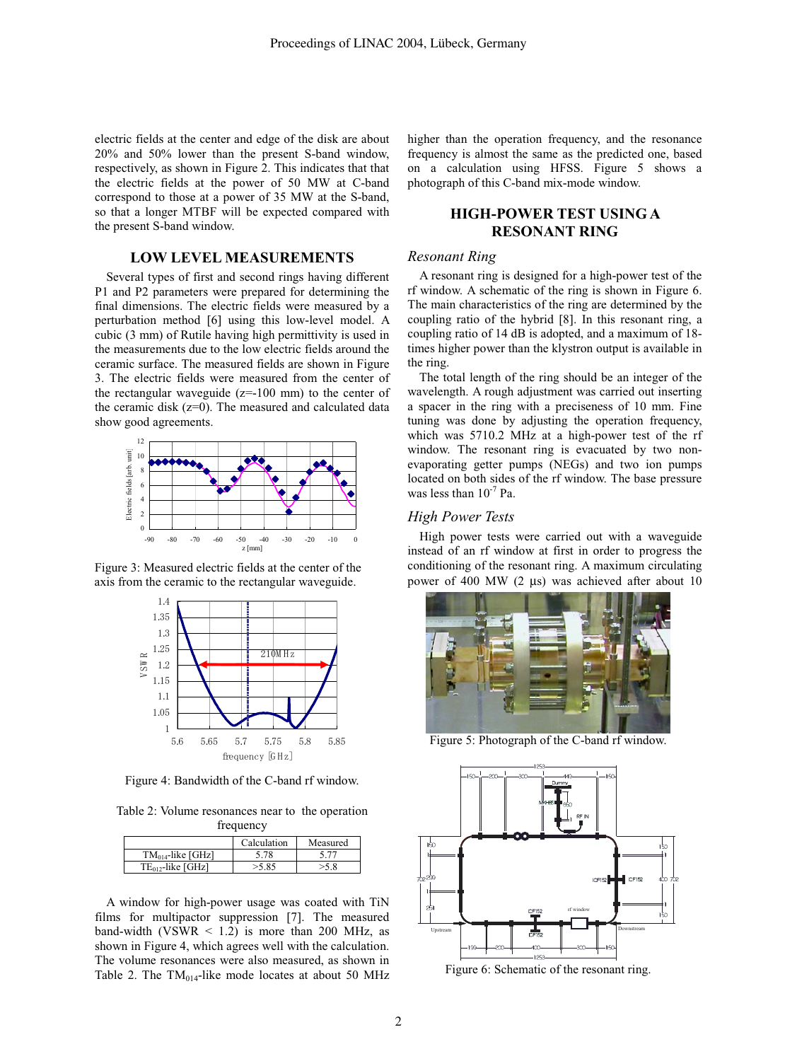electric fields at the center and edge of the disk are about 20% and 50% lower than the present S-band window, respectively, as shown in Figure 2. This indicates that that the electric fields at the power of 50 MW at C-band correspond to those at a power of 35 MW at the S-band, so that a longer MTBF will be expected compared with the present S-band window.

## **LOW LEVEL MEASUREMENTS**

Several types of first and second rings having different P1 and P2 parameters were prepared for determining the final dimensions. The electric fields were measured by a perturbation method [6] using this low-level model. A cubic (3 mm) of Rutile having high permittivity is used in the measurements due to the low electric fields around the ceramic surface. The measured fields are shown in Figure 3. The electric fields were measured from the center of the rectangular waveguide  $(z=100 \text{ mm})$  to the center of the ceramic disk (z=0). The measured and calculated data show good agreements.



Figure 3: Measured electric fields at the center of the axis from the ceramic to the rectangular waveguide.



Figure 4: Bandwidth of the C-band rf window.

Table 2: Volume resonances near to the operation frequency

|                        | Calculation | Measured |
|------------------------|-------------|----------|
| $TM_{014}$ -like [GHz] | 5.78        |          |
| $TE_{012}$ -like [GHz] | 585         |          |

A window for high-power usage was coated with TiN films for multipactor suppression [7]. The measured band-width (VSWR  $<$  1.2) is more than 200 MHz, as shown in Figure 4, which agrees well with the calculation. The volume resonances were also measured, as shown in Table 2. The  $TM<sub>014</sub>$ -like mode locates at about 50 MHz higher than the operation frequency, and the resonance frequency is almost the same as the predicted one, based on a calculation using HFSS. Figure 5 shows a photograph of this C-band mix-mode window.

# **HIGH-POWER TEST USING A RESONANT RING**

#### *Resonant Ring*

A resonant ring is designed for a high-power test of the rf window. A schematic of the ring is shown in Figure 6. The main characteristics of the ring are determined by the coupling ratio of the hybrid [8]. In this resonant ring, a coupling ratio of 14 dB is adopted, and a maximum of 18 times higher power than the klystron output is available in the ring.

The total length of the ring should be an integer of the wavelength. A rough adjustment was carried out inserting a spacer in the ring with a preciseness of 10 mm. Fine tuning was done by adjusting the operation frequency, which was 5710.2 MHz at a high-power test of the rf window. The resonant ring is evacuated by two nonevaporating getter pumps (NEGs) and two ion pumps located on both sides of the rf window. The base pressure was less than  $10^{-7}$  Pa.

## *High Power Tests*

High power tests were carried out with a waveguide instead of an rf window at first in order to progress the conditioning of the resonant ring. A maximum circulating power of 400 MW (2 µs) was achieved after about 10



Figure 5: Photograph of the C-band rf window.



Figure 6: Schematic of the resonant ring.